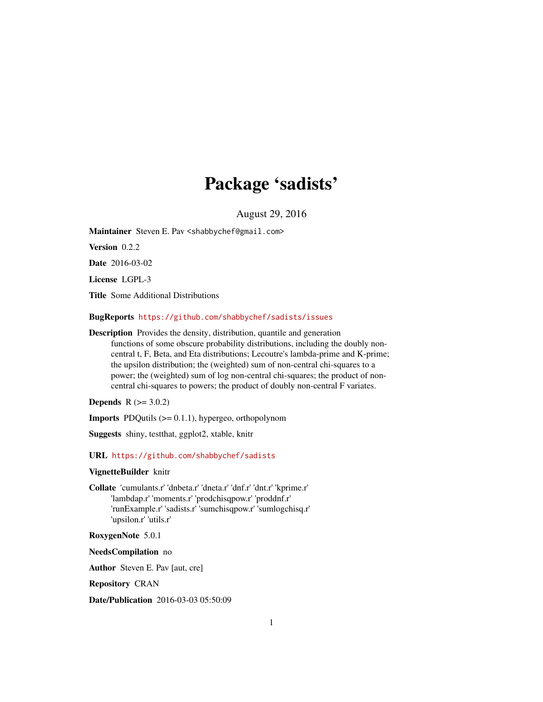## Package 'sadists'

August 29, 2016

<span id="page-0-0"></span>Maintainer Steven E. Pav < shabby chef@gmail.com>

Version 0.2.2

Date 2016-03-02

License LGPL-3

Title Some Additional Distributions

BugReports <https://github.com/shabbychef/sadists/issues>

Description Provides the density, distribution, quantile and generation functions of some obscure probability distributions, including the doubly noncentral t, F, Beta, and Eta distributions; Lecoutre's lambda-prime and K-prime; the upsilon distribution; the (weighted) sum of non-central chi-squares to a power; the (weighted) sum of log non-central chi-squares; the product of noncentral chi-squares to powers; the product of doubly non-central F variates.

**Depends**  $R (= 3.0.2)$ 

**Imports** PDQutils  $(>= 0.1.1)$ , hypergeo, orthopolynom

Suggests shiny, testthat, ggplot2, xtable, knitr

URL <https://github.com/shabbychef/sadists>

### VignetteBuilder knitr

Collate 'cumulants.r' 'dnbeta.r' 'dneta.r' 'dnf.r' 'dnt.r' 'kprime.r' 'lambdap.r' 'moments.r' 'prodchisqpow.r' 'proddnf.r' 'runExample.r' 'sadists.r' 'sumchisqpow.r' 'sumlogchisq.r' 'upsilon.r' 'utils.r'

RoxygenNote 5.0.1

NeedsCompilation no

Author Steven E. Pav [aut, cre]

Repository CRAN

Date/Publication 2016-03-03 05:50:09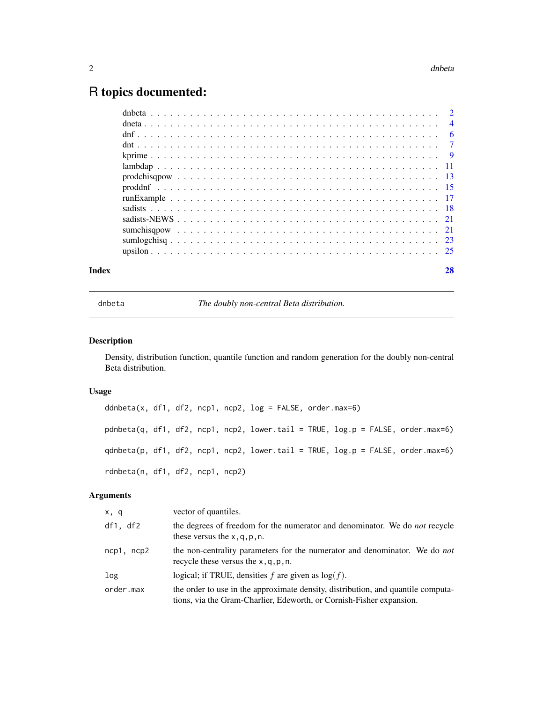## <span id="page-1-0"></span>R topics documented:

| Index |  |
|-------|--|
|       |  |
|       |  |
|       |  |
|       |  |
|       |  |
|       |  |
|       |  |
|       |  |
|       |  |
|       |  |
|       |  |
|       |  |
|       |  |
|       |  |

dnbeta *The doubly non-central Beta distribution.*

## <span id="page-1-1"></span>Description

Density, distribution function, quantile function and random generation for the doubly non-central Beta distribution.

## Usage

ddnbeta(x, df1, df2, ncp1, ncp2, log = FALSE, order.max=6) pdnbeta(q, df1, df2, ncp1, ncp2, lower.tail = TRUE, log.p = FALSE, order.max=6) qdnbeta(p, df1, df2, ncp1, ncp2, lower.tail = TRUE, log.p = FALSE, order.max=6) rdnbeta(n, df1, df2, ncp1, ncp2)

| x, q       | vector of quantiles.                                                                                                                                     |
|------------|----------------------------------------------------------------------------------------------------------------------------------------------------------|
| df1, df2   | the degrees of freedom for the numerator and denominator. We do <i>not</i> recycle<br>these versus the $x, q, p, n$ .                                    |
| ncp1, ncp2 | the non-centrality parameters for the numerator and denominator. We do <i>not</i><br>recycle these versus the $x, q, p, n$ .                             |
| log        | logical; if TRUE, densities f are given as $log(f)$ .                                                                                                    |
| order.max  | the order to use in the approximate density, distribution, and quantile computa-<br>tions, via the Gram-Charlier, Edeworth, or Cornish-Fisher expansion. |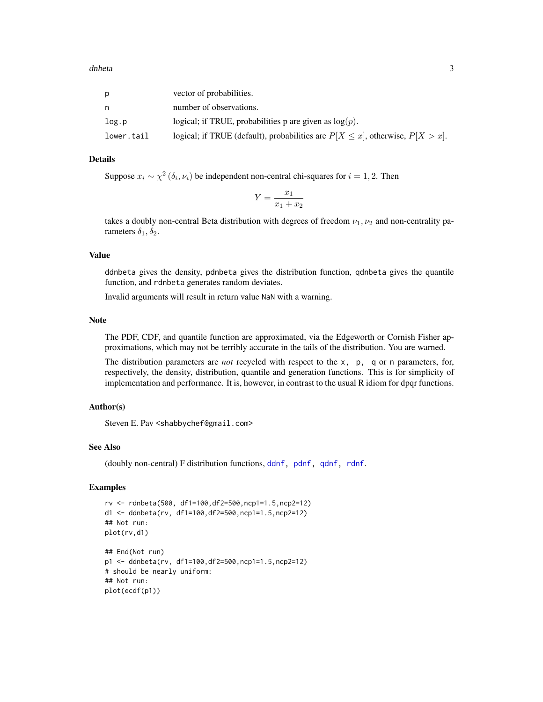<span id="page-2-0"></span>

|            | vector of probabilities.                                                             |
|------------|--------------------------------------------------------------------------------------|
|            | number of observations.                                                              |
| log.p      | logical; if TRUE, probabilities p are given as $log(p)$ .                            |
| lower.tail | logical; if TRUE (default), probabilities are $P[X \le x]$ , otherwise, $P[X > x]$ . |

Suppose  $x_i \sim \chi^2(\delta_i, \nu_i)$  be independent non-central chi-squares for  $i = 1, 2$ . Then

$$
Y = \frac{x_1}{x_1 + x_2}
$$

takes a doubly non-central Beta distribution with degrees of freedom  $\nu_1, \nu_2$  and non-centrality parameters  $\delta_1, \delta_2$ .

## Value

ddnbeta gives the density, pdnbeta gives the distribution function, qdnbeta gives the quantile function, and rdnbeta generates random deviates.

Invalid arguments will result in return value NaN with a warning.

### Note

The PDF, CDF, and quantile function are approximated, via the Edgeworth or Cornish Fisher approximations, which may not be terribly accurate in the tails of the distribution. You are warned.

The distribution parameters are *not* recycled with respect to the x, p, q or n parameters, for, respectively, the density, distribution, quantile and generation functions. This is for simplicity of implementation and performance. It is, however, in contrast to the usual R idiom for dpqr functions.

#### Author(s)

Steven E. Pav <shabbychef@gmail.com>

#### See Also

(doubly non-central) F distribution functions, [ddnf,](#page-5-1) [pdnf,](#page-5-1) [qdnf,](#page-5-1) [rdnf](#page-5-1).

## Examples

```
rv <- rdnbeta(500, df1=100,df2=500,ncp1=1.5,ncp2=12)
d1 <- ddnbeta(rv, df1=100,df2=500,ncp1=1.5,ncp2=12)
## Not run:
plot(rv,d1)
## End(Not run)
p1 <- ddnbeta(rv, df1=100,df2=500,ncp1=1.5,ncp2=12)
# should be nearly uniform:
## Not run:
plot(ecdf(p1))
```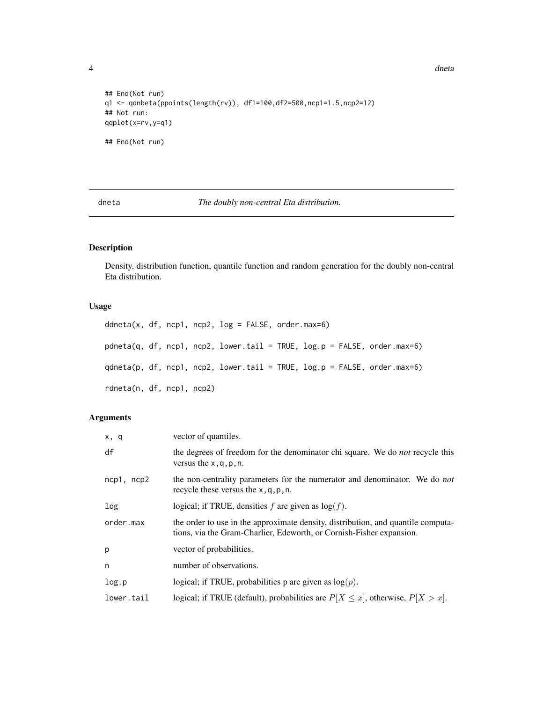4 dneta die ook die 19de eeu n.C. is 'n begin het die geskiede en die beskryf die beskryf die beskryf die beskryf die beskryf die beskryf die beskryf die beskryf die beskryf die beskryf die beskryf die beskryf die beskryf

```
## End(Not run)
q1 <- qdnbeta(ppoints(length(rv)), df1=100,df2=500,ncp1=1.5,ncp2=12)
## Not run:
qqplot(x=rv,y=q1)
## End(Not run)
```
dneta *The doubly non-central Eta distribution.*

## Description

Density, distribution function, quantile function and random generation for the doubly non-central Eta distribution.

## Usage

```
ddneta(x, df, ncp1, ncp2, log = FALSE, order.max=6)
pdneta(q, df, ncp1, ncp2, lower.tail = TRUE, log.p = FALSE, order.max=6)
qdneta(p, df, ncp1, ncp2, lower.tail = TRUE, log.p = FALSE, order.max=6)
rdneta(n, df, ncp1, ncp2)
```

| x, q            | vector of quantiles.                                                                                                                                     |
|-----------------|----------------------------------------------------------------------------------------------------------------------------------------------------------|
| df              | the degrees of freedom for the denominator chi square. We do <i>not</i> recycle this<br>versus the $x, q, p, n$ .                                        |
| $ncp1$ , $ncp2$ | the non-centrality parameters for the numerator and denominator. We do <i>not</i><br>recycle these versus the $x, q, p, n$ .                             |
| log             | logical; if TRUE, densities f are given as $log(f)$ .                                                                                                    |
| order.max       | the order to use in the approximate density, distribution, and quantile computa-<br>tions, via the Gram-Charlier, Edeworth, or Cornish-Fisher expansion. |
| p               | vector of probabilities.                                                                                                                                 |
| n               | number of observations.                                                                                                                                  |
| log.p           | logical; if TRUE, probabilities p are given as $log(p)$ .                                                                                                |
| lower.tail      | logical; if TRUE (default), probabilities are $P[X \le x]$ , otherwise, $P[X > x]$ .                                                                     |

<span id="page-3-0"></span>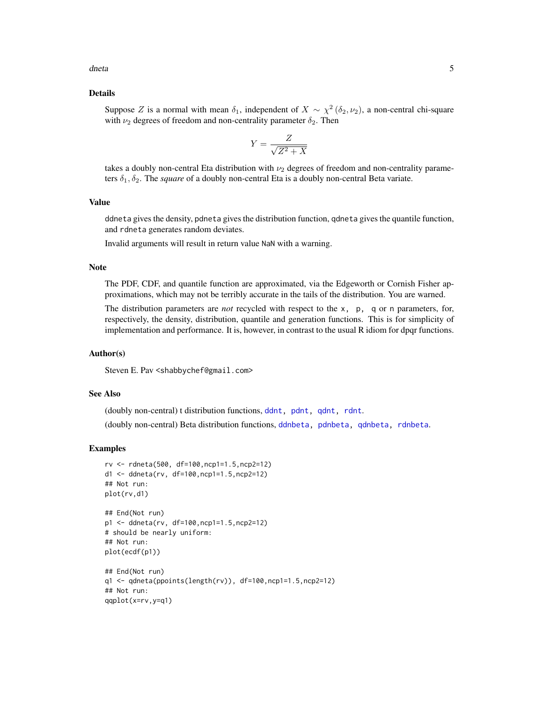<span id="page-4-0"></span>dneta 5

#### Details

Suppose Z is a normal with mean  $\delta_1$ , independent of  $X \sim \chi^2(\delta_2, \nu_2)$ , a non-central chi-square with  $\nu_2$  degrees of freedom and non-centrality parameter  $\delta_2$ . Then

$$
Y = \frac{Z}{\sqrt{Z^2 + X}}
$$

takes a doubly non-central Eta distribution with  $\nu_2$  degrees of freedom and non-centrality parameters  $\delta_1, \delta_2$ . The *square* of a doubly non-central Eta is a doubly non-central Beta variate.

## Value

ddneta gives the density, pdneta gives the distribution function, qdneta gives the quantile function, and rdneta generates random deviates.

Invalid arguments will result in return value NaN with a warning.

## Note

The PDF, CDF, and quantile function are approximated, via the Edgeworth or Cornish Fisher approximations, which may not be terribly accurate in the tails of the distribution. You are warned.

The distribution parameters are *not* recycled with respect to the x, p, q or n parameters, for, respectively, the density, distribution, quantile and generation functions. This is for simplicity of implementation and performance. It is, however, in contrast to the usual R idiom for dpqr functions.

## Author(s)

Steven E. Pav <shabbychef@gmail.com>

## See Also

(doubly non-central) t distribution functions, [ddnt,](#page-6-1) [pdnt,](#page-6-1) [qdnt,](#page-6-1) [rdnt](#page-6-1). (doubly non-central) Beta distribution functions, [ddnbeta,](#page-1-1) [pdnbeta,](#page-1-1) [qdnbeta,](#page-1-1) [rdnbeta](#page-1-1).

#### Examples

```
rv <- rdneta(500, df=100,ncp1=1.5,ncp2=12)
d1 <- ddneta(rv, df=100,ncp1=1.5,ncp2=12)
## Not run:
plot(rv,d1)
## End(Not run)
p1 <- ddneta(rv, df=100,ncp1=1.5,ncp2=12)
# should be nearly uniform:
## Not run:
plot(ecdf(p1))
## End(Not run)
q1 <- qdneta(ppoints(length(rv)), df=100,ncp1=1.5,ncp2=12)
## Not run:
qqplot(x=rv,y=q1)
```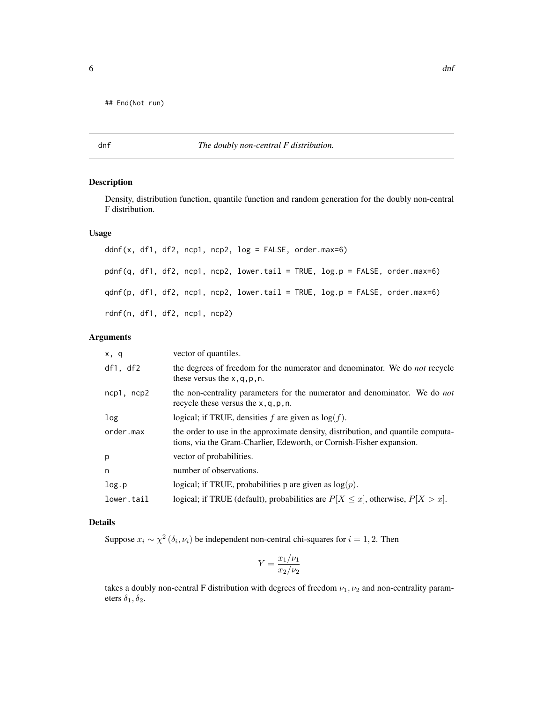<span id="page-5-0"></span>## End(Not run)

## dnf *The doubly non-central F distribution.*

## <span id="page-5-1"></span>Description

Density, distribution function, quantile function and random generation for the doubly non-central F distribution.

## Usage

ddnf(x, df1, df2, ncp1, ncp2,  $log =$  FALSE, order.max=6) pdnf(q, df1, df2, ncp1, ncp2, lower.tail = TRUE, log.p = FALSE, order.max=6) qdnf(p, df1, df2, ncp1, ncp2, lower.tail = TRUE, log.p = FALSE, order.max=6) rdnf(n, df1, df2, ncp1, ncp2)

## Arguments

| x, q            | vector of quantiles.                                                                                                                                     |
|-----------------|----------------------------------------------------------------------------------------------------------------------------------------------------------|
| df1, df2        | the degrees of freedom for the numerator and denominator. We do <i>not</i> recycle<br>these versus the $x, q, p, n$ .                                    |
| $ncp1$ , $ncp2$ | the non-centrality parameters for the numerator and denominator. We do <i>not</i><br>recycle these versus the $x, q, p, n$ .                             |
| log             | logical; if TRUE, densities f are given as $log(f)$ .                                                                                                    |
| order.max       | the order to use in the approximate density, distribution, and quantile computa-<br>tions, via the Gram-Charlier, Edeworth, or Cornish-Fisher expansion. |
| p               | vector of probabilities.                                                                                                                                 |
| n               | number of observations.                                                                                                                                  |
| log.p           | logical; if TRUE, probabilities p are given as $log(p)$ .                                                                                                |
| lower.tail      | logical; if TRUE (default), probabilities are $P[X \le x]$ , otherwise, $P[X > x]$ .                                                                     |

## Details

Suppose  $x_i \sim \chi^2(\delta_i, \nu_i)$  be independent non-central chi-squares for  $i = 1, 2$ . Then

$$
Y = \frac{x_1/\nu_1}{x_2/\nu_2}
$$

takes a doubly non-central F distribution with degrees of freedom  $\nu_1, \nu_2$  and non-centrality parameters  $\delta_1, \delta_2$ .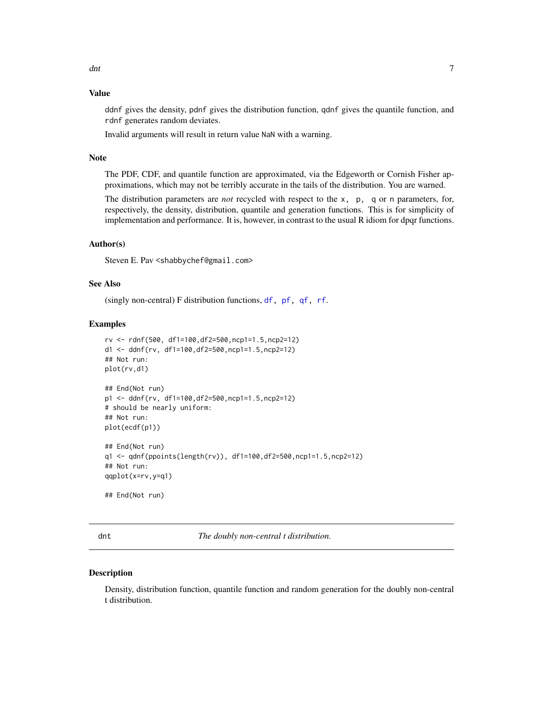## <span id="page-6-0"></span>Value

ddnf gives the density, pdnf gives the distribution function, qdnf gives the quantile function, and rdnf generates random deviates.

Invalid arguments will result in return value NaN with a warning.

## Note

The PDF, CDF, and quantile function are approximated, via the Edgeworth or Cornish Fisher approximations, which may not be terribly accurate in the tails of the distribution. You are warned.

The distribution parameters are *not* recycled with respect to the x, p, q or n parameters, for, respectively, the density, distribution, quantile and generation functions. This is for simplicity of implementation and performance. It is, however, in contrast to the usual R idiom for dpqr functions.

## Author(s)

Steven E. Pav <shabbychef@gmail.com>

## See Also

(singly non-central) F distribution functions, [df,](#page-0-0) [pf,](#page-0-0) [qf,](#page-0-0) [rf](#page-0-0).

#### Examples

```
rv <- rdnf(500, df1=100,df2=500,ncp1=1.5,ncp2=12)
d1 <- ddnf(rv, df1=100,df2=500,ncp1=1.5,ncp2=12)
## Not run:
plot(rv,d1)
## End(Not run)
p1 <- ddnf(rv, df1=100,df2=500,ncp1=1.5,ncp2=12)
# should be nearly uniform:
## Not run:
plot(ecdf(p1))
## End(Not run)
q1 <- qdnf(ppoints(length(rv)), df1=100,df2=500,ncp1=1.5,ncp2=12)
## Not run:
qqplot(x=rv,y=q1)
## End(Not run)
```
dnt *The doubly non-central t distribution.*

## <span id="page-6-1"></span>Description

Density, distribution function, quantile function and random generation for the doubly non-central t distribution.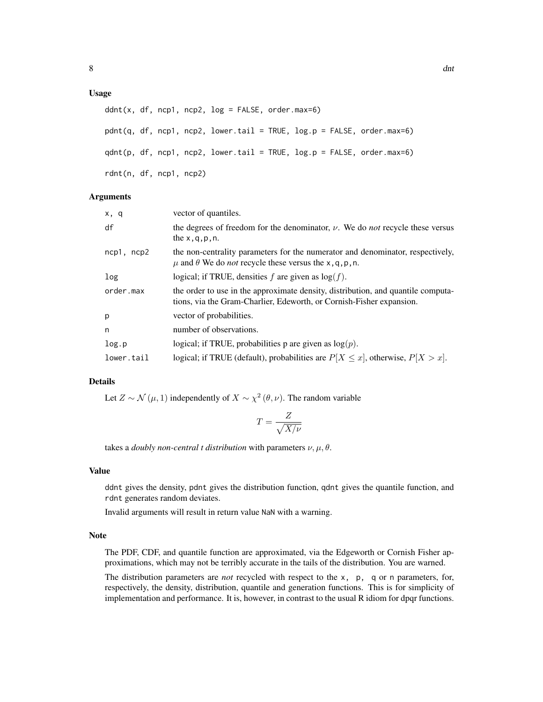## Usage

```
ddnt(x, df, ncp1, ncp2, log = FALSE, order.max=6)pdnt(q, df, ncp1, ncp2, lower.tail = TRUE, log.p = FALSE, order.max=6)
qdnt(p, df, ncp1, ncp2, lower.tail = TRUE, log.p = FALSE, order.max=6)
rdnt(n, df, ncp1, ncp2)
```
#### Arguments

| vector of quantiles.                                                                                                                                       |
|------------------------------------------------------------------------------------------------------------------------------------------------------------|
| the degrees of freedom for the denominator, $\nu$ . We do <i>not</i> recycle these versus<br>the $x, q, p, n$ .                                            |
| the non-centrality parameters for the numerator and denominator, respectively,<br>$\mu$ and $\theta$ We do <i>not</i> recycle these versus the x, q, p, n. |
| logical; if TRUE, densities f are given as $log(f)$ .                                                                                                      |
| the order to use in the approximate density, distribution, and quantile computa-<br>tions, via the Gram-Charlier, Edeworth, or Cornish-Fisher expansion.   |
| vector of probabilities.                                                                                                                                   |
| number of observations.                                                                                                                                    |
| logical; if TRUE, probabilities p are given as $log(p)$ .                                                                                                  |
| logical; if TRUE (default), probabilities are $P[X \le x]$ , otherwise, $P[X > x]$ .                                                                       |
|                                                                                                                                                            |

## Details

Let  $Z \sim \mathcal{N}(\mu, 1)$  independently of  $X \sim \chi^2(\theta, \nu)$ . The random variable

$$
T = \frac{Z}{\sqrt{X/\nu}}
$$

takes a *doubly non-central t distribution* with parameters  $\nu, \mu, \theta$ .

#### Value

ddnt gives the density, pdnt gives the distribution function, qdnt gives the quantile function, and rdnt generates random deviates.

Invalid arguments will result in return value NaN with a warning.

#### Note

The PDF, CDF, and quantile function are approximated, via the Edgeworth or Cornish Fisher approximations, which may not be terribly accurate in the tails of the distribution. You are warned.

The distribution parameters are *not* recycled with respect to the x, p, q or n parameters, for, respectively, the density, distribution, quantile and generation functions. This is for simplicity of implementation and performance. It is, however, in contrast to the usual R idiom for dpqr functions.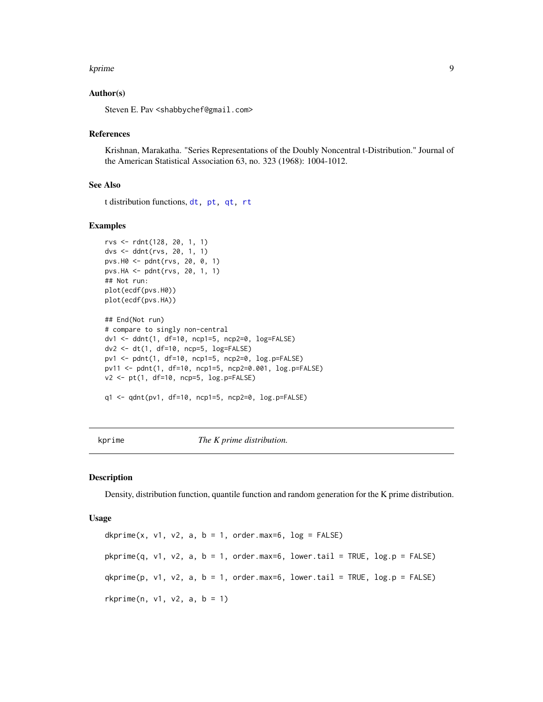#### <span id="page-8-0"></span>kprime to the second second second second second second second second second second second second second second second second second second second second second second second second second second second second second secon

## Author(s)

Steven E. Pav <shabbychef@gmail.com>

#### References

Krishnan, Marakatha. "Series Representations of the Doubly Noncentral t-Distribution." Journal of the American Statistical Association 63, no. 323 (1968): 1004-1012.

## See Also

t distribution functions, [dt,](#page-0-0) [pt,](#page-0-0) [qt,](#page-0-0) [rt](#page-0-0)

## Examples

```
rvs <- rdnt(128, 20, 1, 1)
dvs <- ddnt(rvs, 20, 1, 1)
pvs.H0 <- pdnt(rvs, 20, 0, 1)
pvs.HA <- pdnt(rvs, 20, 1, 1)
## Not run:
plot(ecdf(pvs.H0))
plot(ecdf(pvs.HA))
## End(Not run)
# compare to singly non-central
dv1 <- ddnt(1, df=10, ncp1=5, ncp2=0, log=FALSE)
dv2 <- dt(1, df=10, ncp=5, log=FALSE)
pv1 <- pdnt(1, df=10, ncp1=5, ncp2=0, log.p=FALSE)
pv11 <- pdnt(1, df=10, ncp1=5, ncp2=0.001, log.p=FALSE)
v2 <- pt(1, df=10, ncp=5, log.p=FALSE)
```

```
q1 <- qdnt(pv1, df=10, ncp1=5, ncp2=0, log.p=FALSE)
```
kprime *The K prime distribution.*

## <span id="page-8-1"></span>Description

Density, distribution function, quantile function and random generation for the K prime distribution.

#### Usage

dkprime(x, v1, v2, a,  $b = 1$ , order.max=6,  $log = FALSE$ )  $pkprime(q, v1, v2, a, b = 1, order.max=6, lower.tail = TRUE, log.p = FALSE)$  $qkprime(p, v1, v2, a, b = 1, order.max=6, lower.tail = TRUE, log.p = FALSE)$  $rkprime(n, v1, v2, a, b = 1)$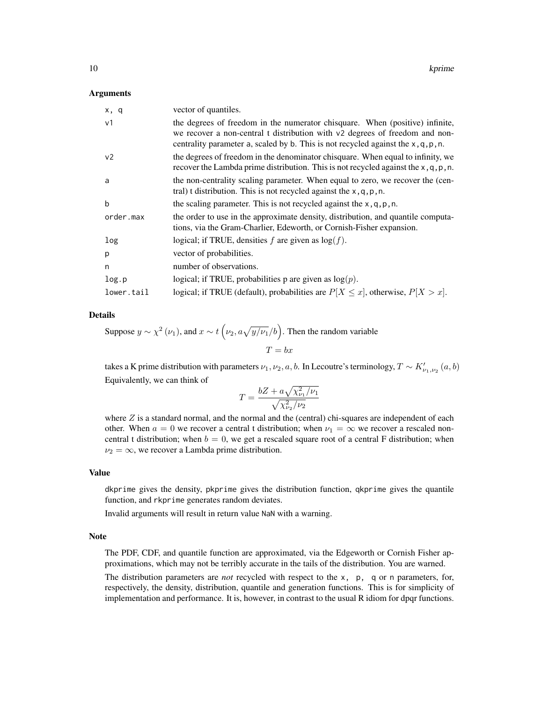#### Arguments

| x, q           | vector of quantiles.                                                                                                                                                                                                                                |
|----------------|-----------------------------------------------------------------------------------------------------------------------------------------------------------------------------------------------------------------------------------------------------|
| v <sub>1</sub> | the degrees of freedom in the numerator chisquare. When (positive) infinite,<br>we recover a non-central t distribution with v2 degrees of freedom and non-<br>centrality parameter a, scaled by b. This is not recycled against the $x, q, p, n$ . |
| v <sub>2</sub> | the degrees of freedom in the denominator chisquare. When equal to infinity, we<br>recover the Lambda prime distribution. This is not recycled against the $x, q, p, n$ .                                                                           |
| a              | the non-centrality scaling parameter. When equal to zero, we recover the (cen-<br>tral) t distribution. This is not recycled against the $x, q, p, n$ .                                                                                             |
| $\mathbf b$    | the scaling parameter. This is not recycled against the $x, q, p, n$ .                                                                                                                                                                              |
| order.max      | the order to use in the approximate density, distribution, and quantile computa-<br>tions, via the Gram-Charlier, Edeworth, or Cornish-Fisher expansion.                                                                                            |
| log            | logical; if TRUE, densities f are given as $log(f)$ .                                                                                                                                                                                               |
| p              | vector of probabilities.                                                                                                                                                                                                                            |
| n              | number of observations.                                                                                                                                                                                                                             |
| log.p          | logical; if TRUE, probabilities p are given as $log(p)$ .                                                                                                                                                                                           |
| lower.tail     | logical; if TRUE (default), probabilities are $P[X \le x]$ , otherwise, $P[X > x]$ .                                                                                                                                                                |

#### Details

Suppose 
$$
y \sim \chi^2(\nu_1)
$$
, and  $x \sim t(\nu_2, a\sqrt{y/\nu_1}/b)$ . Then the random variable  
\n
$$
T = bx
$$

takes a K prime distribution with parameters  $\nu_1, \nu_2, a, b$ . In Lecoutre's terminology,  $T \sim K'_{\nu_1,\nu_2}(a,b)$ Equivalently, we can think of

$$
T = \frac{bZ + a\sqrt{\chi_{\nu_1}^2/\nu_1}}{\sqrt{\chi_{\nu_2}^2/\nu_2}}
$$

where  $Z$  is a standard normal, and the normal and the (central) chi-squares are independent of each other. When  $a = 0$  we recover a central t distribution; when  $\nu_1 = \infty$  we recover a rescaled noncentral t distribution; when  $b = 0$ , we get a rescaled square root of a central F distribution; when  $\nu_2 = \infty$ , we recover a Lambda prime distribution.

### Value

dkprime gives the density, pkprime gives the distribution function, qkprime gives the quantile function, and rkprime generates random deviates.

Invalid arguments will result in return value NaN with a warning.

#### Note

The PDF, CDF, and quantile function are approximated, via the Edgeworth or Cornish Fisher approximations, which may not be terribly accurate in the tails of the distribution. You are warned.

The distribution parameters are *not* recycled with respect to the x, p, q or n parameters, for, respectively, the density, distribution, quantile and generation functions. This is for simplicity of implementation and performance. It is, however, in contrast to the usual R idiom for dpqr functions.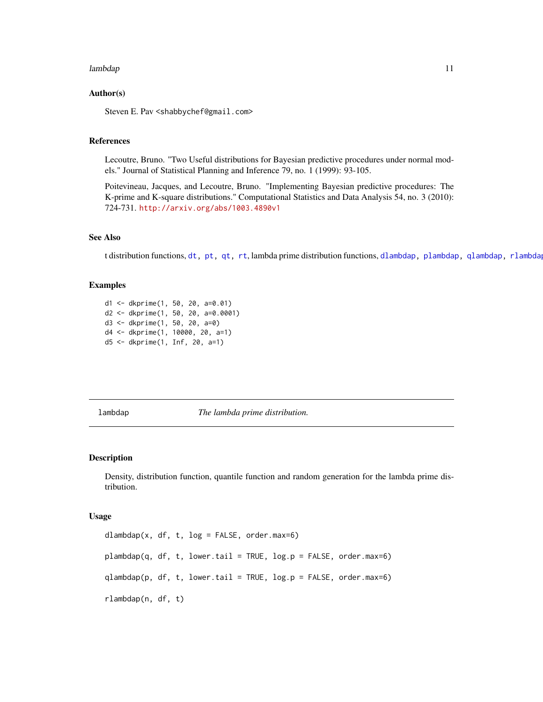#### <span id="page-10-0"></span>lambdap anns anns an 11 an t-Iaraba. Tha anns an t-Iaraba anns an 11 an t-Iaraba anns an 11 an t-Iaraba anns a

## Author(s)

Steven E. Pav <shabbychef@gmail.com>

## References

Lecoutre, Bruno. "Two Useful distributions for Bayesian predictive procedures under normal models." Journal of Statistical Planning and Inference 79, no. 1 (1999): 93-105.

Poitevineau, Jacques, and Lecoutre, Bruno. "Implementing Bayesian predictive procedures: The K-prime and K-square distributions." Computational Statistics and Data Analysis 54, no. 3 (2010): 724-731. <http://arxiv.org/abs/1003.4890v1>

### See Also

t distribution functions, [dt,](#page-0-0) [pt,](#page-0-0) [qt,](#page-0-0) [rt](#page-0-0), lambda prime distribution functions, [dlambdap,](#page-10-1) [plambdap,](#page-10-1) [qlambdap,](#page-10-1) [rlambdap](#page-10-1).

### Examples

```
d1 <- dkprime(1, 50, 20, a=0.01)
d2 <- dkprime(1, 50, 20, a=0.0001)
d3 <- dkprime(1, 50, 20, a=0)
d4 <- dkprime(1, 10000, 20, a=1)
d5 <- dkprime(1, Inf, 20, a=1)
```
lambdap *The lambda prime distribution.*

## <span id="page-10-1"></span>Description

Density, distribution function, quantile function and random generation for the lambda prime distribution.

#### Usage

dlambdap(x, df, t, log = FALSE, order.max=6)  $plambdap(q, df, t, lower.tail = TRUE, log.p = FALSE, order.max=6)$ qlambdap(p, df, t, lower.tail = TRUE, log.p = FALSE, order.max=6) rlambdap(n, df, t)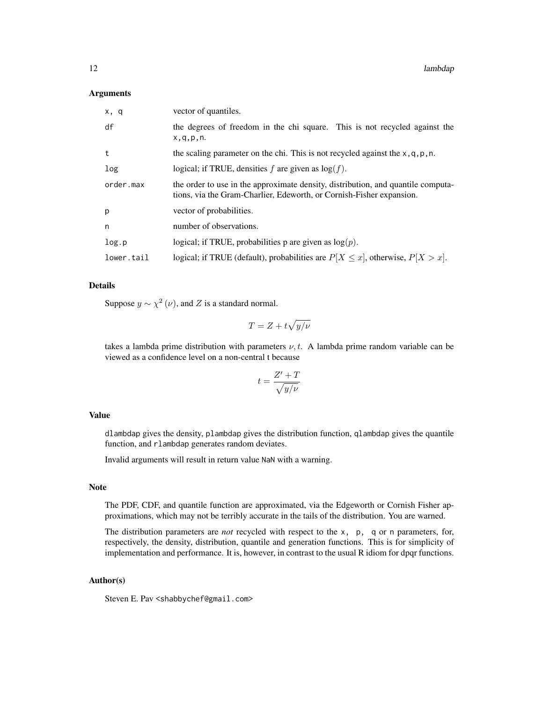## Arguments

| x, q       | vector of quantiles.                                                                                                                                     |
|------------|----------------------------------------------------------------------------------------------------------------------------------------------------------|
| df         | the degrees of freedom in the chi square. This is not recycled against the<br>x, q, p, n.                                                                |
| t          | the scaling parameter on the chi. This is not recycled against the $x, q, p, n$ .                                                                        |
| log        | logical; if TRUE, densities f are given as $log(f)$ .                                                                                                    |
| order.max  | the order to use in the approximate density, distribution, and quantile computa-<br>tions, via the Gram-Charlier, Edeworth, or Cornish-Fisher expansion. |
| p          | vector of probabilities.                                                                                                                                 |
| n          | number of observations.                                                                                                                                  |
| log.p      | logical; if TRUE, probabilities p are given as $log(p)$ .                                                                                                |
| lower.tail | logical; if TRUE (default), probabilities are $P[X \le x]$ , otherwise, $P[X > x]$ .                                                                     |

#### Details

Suppose  $y \sim \chi^2(\nu)$ , and Z is a standard normal.

$$
T = Z + t\sqrt{y/\nu}
$$

takes a lambda prime distribution with parameters  $\nu$ , t. A lambda prime random variable can be viewed as a confidence level on a non-central t because

$$
t = \frac{Z' + T}{\sqrt{y/\nu}}
$$

## Value

dlambdap gives the density, plambdap gives the distribution function, qlambdap gives the quantile function, and rlambdap generates random deviates.

Invalid arguments will result in return value NaN with a warning.

## Note

The PDF, CDF, and quantile function are approximated, via the Edgeworth or Cornish Fisher approximations, which may not be terribly accurate in the tails of the distribution. You are warned.

The distribution parameters are *not* recycled with respect to the x, p, q or n parameters, for, respectively, the density, distribution, quantile and generation functions. This is for simplicity of implementation and performance. It is, however, in contrast to the usual R idiom for dpqr functions.

## Author(s)

Steven E. Pav <shabbychef@gmail.com>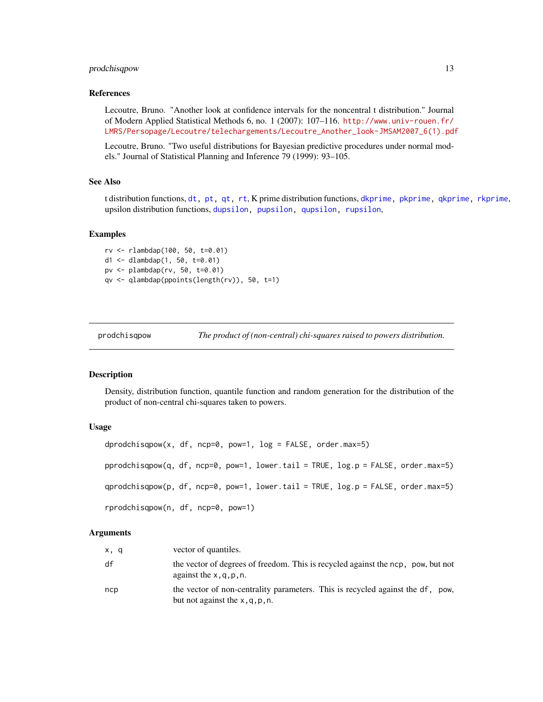## <span id="page-12-0"></span>prodchisqpow 13

#### References

Lecoutre, Bruno. "Another look at confidence intervals for the noncentral t distribution." Journal of Modern Applied Statistical Methods 6, no. 1 (2007): 107–116. [http://www.univ-rouen.fr/](http://www.univ-rouen.fr/LMRS/Persopage/Lecoutre/telechargements/Lecoutre_Another_look-JMSAM2007_6(1).pdf) [LMRS/Persopage/Lecoutre/telechargements/Lecoutre\\_Another\\_look-JMSAM2007\\_6\(1\).pdf](http://www.univ-rouen.fr/LMRS/Persopage/Lecoutre/telechargements/Lecoutre_Another_look-JMSAM2007_6(1).pdf)

Lecoutre, Bruno. "Two useful distributions for Bayesian predictive procedures under normal models." Journal of Statistical Planning and Inference 79 (1999): 93–105.

## See Also

t distribution functions, [dt,](#page-0-0) [pt,](#page-0-0) [qt,](#page-0-0) [rt](#page-0-0), K prime distribution functions, [dkprime,](#page-8-1) [pkprime,](#page-8-1) [qkprime,](#page-8-1) [rkprime](#page-8-1), upsilon distribution functions, [dupsilon,](#page-24-1) [pupsilon,](#page-24-1) [qupsilon,](#page-24-1) [rupsilon](#page-24-1),

## Examples

```
rv <- rlambdap(100, 50, t=0.01)
d1 \le - dlambdap(1, 50, t=0.01)pv <- plambdap(rv, 50, t=0.01)
qv <- qlambdap(ppoints(length(rv)), 50, t=1)
```
prodchisqpow *The product of (non-central) chi-squares raised to powers distribution.*

## <span id="page-12-1"></span>Description

Density, distribution function, quantile function and random generation for the distribution of the product of non-central chi-squares taken to powers.

#### Usage

```
dprodchisqpow(x, df, ncp=0, pow=1, log = FALSE, order.max=5)
pprodchisqpow(q, df, ncp=0, pow=1, lower.tail = TRUE, log.p = FALSE, order.max=5)
qprodchisqpow(p, df, ncp=0, pow=1, lower.tail = TRUE, log.p = FALSE, order.max=5)
rprodchisqpow(n, df, ncp=0, pow=1)
```

| x, q | vector of quantiles.                                                                                                 |
|------|----------------------------------------------------------------------------------------------------------------------|
| df   | the vector of degrees of freedom. This is recycled against the ncp, pow, but not<br>against the $x, q, p, n$ .       |
| ncp  | the vector of non-centrality parameters. This is recycled against the df, pow,<br>but not against the $x, q, p, n$ . |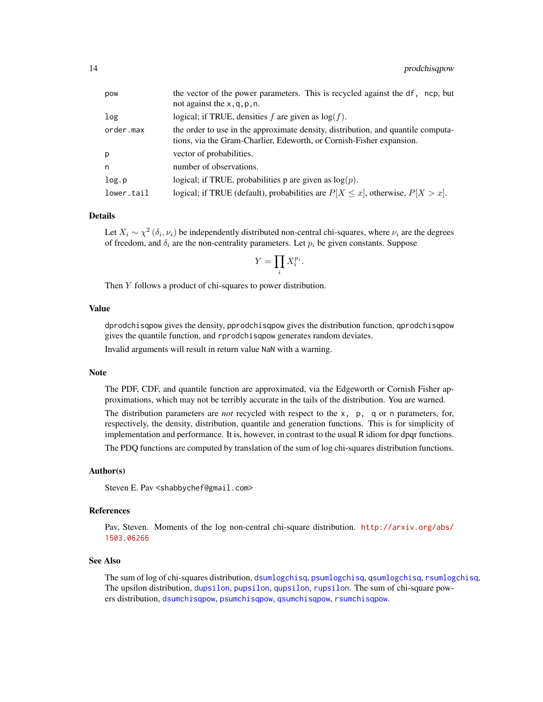<span id="page-13-0"></span>

| pow        | the vector of the power parameters. This is recycled against the df, ncp, but<br>not against the $x, q, p, n$ .                                          |
|------------|----------------------------------------------------------------------------------------------------------------------------------------------------------|
| log        | logical; if TRUE, densities f are given as $log(f)$ .                                                                                                    |
| order.max  | the order to use in the approximate density, distribution, and quantile computa-<br>tions, via the Gram-Charlier, Edeworth, or Cornish-Fisher expansion. |
| p          | vector of probabilities.                                                                                                                                 |
| n          | number of observations.                                                                                                                                  |
| log.p      | logical; if TRUE, probabilities p are given as $log(p)$ .                                                                                                |
| lower.tail | logical; if TRUE (default), probabilities are $P[X \le x]$ , otherwise, $P[X > x]$ .                                                                     |

Let  $X_i \sim \chi^2(\delta_i, \nu_i)$  be independently distributed non-central chi-squares, where  $\nu_i$  are the degrees of freedom, and  $\delta_i$  are the non-centrality parameters. Let  $p_i$  be given constants. Suppose

$$
Y = \prod_i X_i^{p_i}.
$$

Then Y follows a product of chi-squares to power distribution.

### Value

dprodchisqpow gives the density, pprodchisqpow gives the distribution function, qprodchisqpow gives the quantile function, and rprodchisqpow generates random deviates.

Invalid arguments will result in return value NaN with a warning.

#### Note

The PDF, CDF, and quantile function are approximated, via the Edgeworth or Cornish Fisher approximations, which may not be terribly accurate in the tails of the distribution. You are warned.

The distribution parameters are *not* recycled with respect to the x, p, q or n parameters, for, respectively, the density, distribution, quantile and generation functions. This is for simplicity of implementation and performance. It is, however, in contrast to the usual R idiom for dpqr functions.

The PDQ functions are computed by translation of the sum of log chi-squares distribution functions.

## Author(s)

Steven E. Pav <shabbychef@gmail.com>

## References

Pav, Steven. Moments of the log non-central chi-square distribution. [http://arxiv.org/abs/](http://arxiv.org/abs/1503.06266) [1503.06266](http://arxiv.org/abs/1503.06266)

## See Also

The sum of log of chi-squares distribution, [dsumlogchisq](#page-22-1), [psumlogchisq](#page-22-1), [qsumlogchisq](#page-22-1), [rsumlogchisq](#page-22-1), The upsilon distribution, [dupsilon](#page-24-1), [pupsilon](#page-24-1), [qupsilon](#page-24-1), [rupsilon](#page-24-1). The sum of chi-square powers distribution, [dsumchisqpow](#page-20-1), [psumchisqpow](#page-20-1), [qsumchisqpow](#page-20-1), [rsumchisqpow](#page-20-1).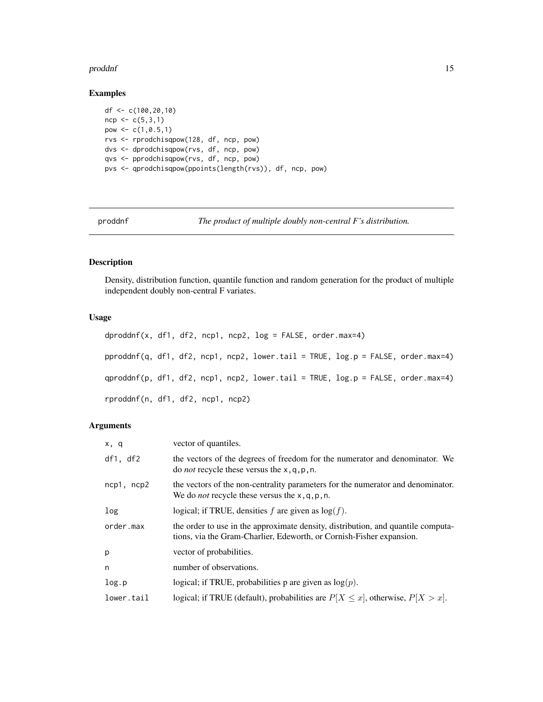#### <span id="page-14-0"></span>proddnf 15

## Examples

```
df <- c(100,20,10)
ncp < -c(5,3,1)pow <- c(1,0.5,1)
rvs <- rprodchisqpow(128, df, ncp, pow)
dvs <- dprodchisqpow(rvs, df, ncp, pow)
qvs <- pprodchisqpow(rvs, df, ncp, pow)
pvs <- qprodchisqpow(ppoints(length(rvs)), df, ncp, pow)
```
proddnf *The product of multiple doubly non-central F's distribution.*

## Description

Density, distribution function, quantile function and random generation for the product of multiple independent doubly non-central F variates.

#### Usage

```
dproddnf(x, df1, df2, ncp1, ncp2, log = FALSE, order.max=4)
pproddnf(q, df1, df2, ncp1, ncp2, lower.tail = TRUE, log.p = FALSE, order.max=4)
qproddnf(p, df1, df2, ncp1, ncp2, lower.tail = TRUE, log.p = FALSE, order.max=4)
rproddnf(n, df1, df2, ncp1, ncp2)
```

| x, q            | vector of quantiles.                                                                                                                                     |
|-----------------|----------------------------------------------------------------------------------------------------------------------------------------------------------|
| df1, df2        | the vectors of the degrees of freedom for the numerator and denominator. We<br>do <i>not</i> recycle these versus the $x$ , q, p, n.                     |
| $ncp1$ , $ncp2$ | the vectors of the non-centrality parameters for the numerator and denominator.<br>We do <i>not</i> recycle these versus the $x$ , q, p, n.              |
| log             | logical; if TRUE, densities f are given as $log(f)$ .                                                                                                    |
| order.max       | the order to use in the approximate density, distribution, and quantile computa-<br>tions, via the Gram-Charlier, Edeworth, or Cornish-Fisher expansion. |
| p               | vector of probabilities.                                                                                                                                 |
| n               | number of observations.                                                                                                                                  |
| log.p           | logical; if TRUE, probabilities p are given as $log(p)$ .                                                                                                |
| lower.tail      | logical; if TRUE (default), probabilities are $P[X \le x]$ , otherwise, $P[X > x]$ .                                                                     |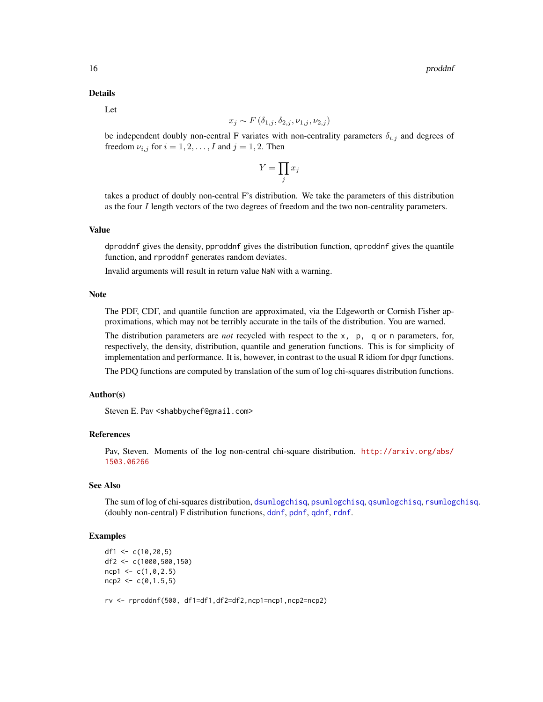<span id="page-15-0"></span>Let

$$
x_j \sim F(\delta_{1,j}, \delta_{2,j}, \nu_{1,j}, \nu_{2,j})
$$

be independent doubly non-central F variates with non-centrality parameters  $\delta_{i,j}$  and degrees of freedom  $\nu_{i,j}$  for  $i = 1, 2, \dots, I$  and  $j = 1, 2$ . Then

$$
Y=\prod_j x_j
$$

takes a product of doubly non-central F's distribution. We take the parameters of this distribution as the four I length vectors of the two degrees of freedom and the two non-centrality parameters.

## Value

dproddnf gives the density, pproddnf gives the distribution function, qproddnf gives the quantile function, and rproddnf generates random deviates.

Invalid arguments will result in return value NaN with a warning.

#### Note

The PDF, CDF, and quantile function are approximated, via the Edgeworth or Cornish Fisher approximations, which may not be terribly accurate in the tails of the distribution. You are warned.

The distribution parameters are *not* recycled with respect to the x, p, q or n parameters, for, respectively, the density, distribution, quantile and generation functions. This is for simplicity of implementation and performance. It is, however, in contrast to the usual R idiom for dpqr functions.

The PDQ functions are computed by translation of the sum of log chi-squares distribution functions.

#### Author(s)

Steven E. Pav <shabbychef@gmail.com>

#### References

Pav, Steven. Moments of the log non-central chi-square distribution. [http://arxiv.org/abs/](http://arxiv.org/abs/1503.06266) [1503.06266](http://arxiv.org/abs/1503.06266)

## See Also

The sum of log of chi-squares distribution, [dsumlogchisq](#page-22-1), [psumlogchisq](#page-22-1), [qsumlogchisq](#page-22-1), [rsumlogchisq](#page-22-1). (doubly non-central) F distribution functions, [ddnf](#page-5-1), [pdnf](#page-5-1), [qdnf](#page-5-1), [rdnf](#page-5-1).

#### Examples

```
df1 <-c(10, 20, 5)df2 <- c(1000,500,150)
ncp1 < -c(1, 0, 2.5)ncp2 < -c(0,1.5,5)rv <- rproddnf(500, df1=df1,df2=df2,ncp1=ncp1,ncp2=ncp2)
```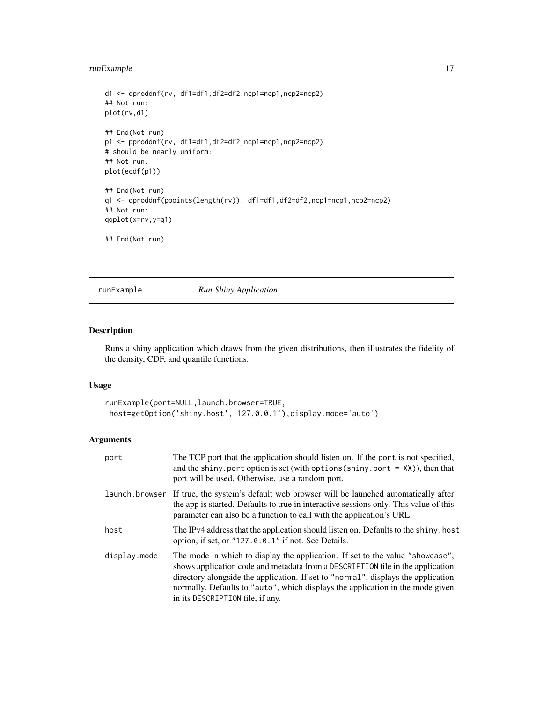## <span id="page-16-0"></span>runExample 17

```
d1 <- dproddnf(rv, df1=df1,df2=df2,ncp1=ncp1,ncp2=ncp2)
## Not run:
plot(rv,d1)
## End(Not run)
p1 <- pproddnf(rv, df1=df1,df2=df2,ncp1=ncp1,ncp2=ncp2)
# should be nearly uniform:
## Not run:
plot(ecdf(p1))
## End(Not run)
q1 <- qproddnf(ppoints(length(rv)), df1=df1,df2=df2,ncp1=ncp1,ncp2=ncp2)
## Not run:
qqplot(x=rv,y=q1)
## End(Not run)
```
runExample *Run Shiny Application*

## Description

Runs a shiny application which draws from the given distributions, then illustrates the fidelity of the density, CDF, and quantile functions.

## Usage

```
runExample(port=NULL,launch.browser=TRUE,
host=getOption('shiny.host','127.0.0.1'),display.mode='auto')
```

| port         | The TCP port that the application should listen on. If the port is not specified,<br>and the shiny. port option is set (with options (shiny. port $=$ XX)), then that<br>port will be used. Otherwise, use a random port.                                                                                                                                                  |
|--------------|----------------------------------------------------------------------------------------------------------------------------------------------------------------------------------------------------------------------------------------------------------------------------------------------------------------------------------------------------------------------------|
|              | launch browser If true, the system's default web browser will be launched automatically after<br>the app is started. Defaults to true in interactive sessions only. This value of this<br>parameter can also be a function to call with the application's URL.                                                                                                             |
| host         | The IPv4 address that the application should listen on. Defaults to the shiny, host<br>option, if set, or "127.0.0.1" if not. See Details.                                                                                                                                                                                                                                 |
| display.mode | The mode in which to display the application. If set to the value "showcase",<br>shows application code and metadata from a DESCRIPTION file in the application<br>directory alongside the application. If set to "normal", displays the application<br>normally. Defaults to "auto", which displays the application in the mode given<br>in its DESCRIPTION file, if any. |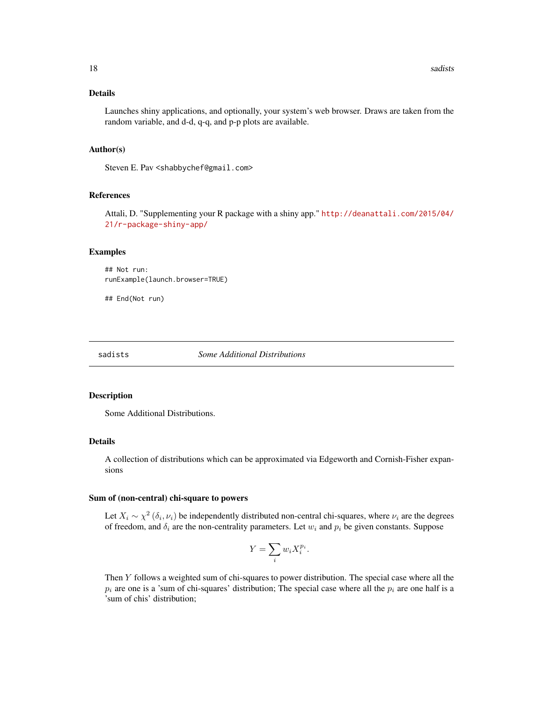<span id="page-17-0"></span>Launches shiny applications, and optionally, your system's web browser. Draws are taken from the random variable, and d-d, q-q, and p-p plots are available.

#### Author(s)

Steven E. Pav <shabbychef@gmail.com>

## References

Attali, D. "Supplementing your R package with a shiny app." [http://deanattali.com/2015/04/](http://deanattali.com/2015/04/21/r-package-shiny-app/) [21/r-package-shiny-app/](http://deanattali.com/2015/04/21/r-package-shiny-app/)

#### Examples

## Not run: runExample(launch.browser=TRUE)

## End(Not run)

sadists *Some Additional Distributions*

#### Description

Some Additional Distributions.

#### Details

A collection of distributions which can be approximated via Edgeworth and Cornish-Fisher expansions

#### Sum of (non-central) chi-square to powers

Let  $X_i \sim \chi^2(\delta_i, \nu_i)$  be independently distributed non-central chi-squares, where  $\nu_i$  are the degrees of freedom, and  $\delta_i$  are the non-centrality parameters. Let  $w_i$  and  $p_i$  be given constants. Suppose

$$
Y = \sum_{i} w_i X_i^{p_i}.
$$

Then Y follows a weighted sum of chi-squares to power distribution. The special case where all the  $p_i$  are one is a 'sum of chi-squares' distribution; The special case where all the  $p_i$  are one half is a 'sum of chis' distribution;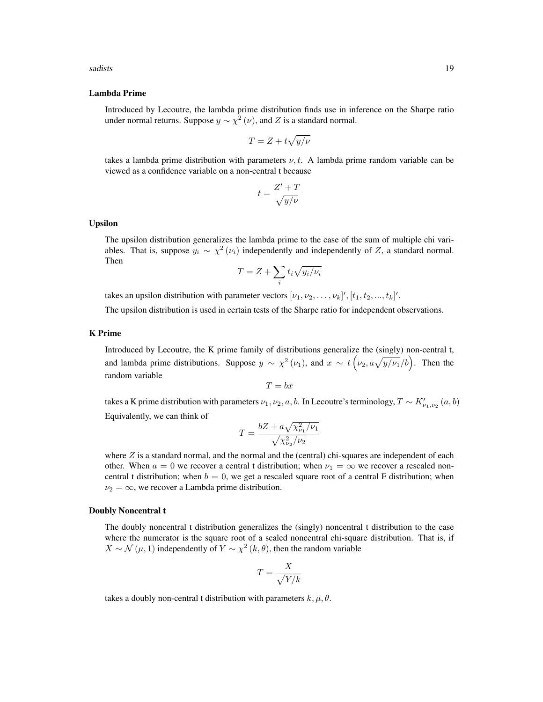#### Lambda Prime

Introduced by Lecoutre, the lambda prime distribution finds use in inference on the Sharpe ratio under normal returns. Suppose  $y \sim \chi^2(\nu)$ , and Z is a standard normal.

$$
T = Z + t\sqrt{y/\nu}
$$

takes a lambda prime distribution with parameters  $\nu, t$ . A lambda prime random variable can be viewed as a confidence variable on a non-central t because

$$
t = \frac{Z' + T}{\sqrt{y/\nu}}
$$

#### Upsilon

The upsilon distribution generalizes the lambda prime to the case of the sum of multiple chi variables. That is, suppose  $y_i \sim \chi^2(\nu_i)$  independently and independently of Z, a standard normal. Then

$$
T = Z + \sum_{i} t_i \sqrt{y_i/\nu_i}
$$

takes an upsilon distribution with parameter vectors  $[\nu_1, \nu_2, \dots, \nu_k]'$ ,  $[t_1, t_2, ..., t_k]'$ .

The upsilon distribution is used in certain tests of the Sharpe ratio for independent observations.

#### K Prime

Introduced by Lecoutre, the K prime family of distributions generalize the (singly) non-central t, and lambda prime distributions. Suppose  $y \sim \chi^2(\nu_1)$ , and  $x \sim t\left(\nu_2, a\sqrt{y/\nu_1}/b\right)$ . Then the random variable

$$
T = bx
$$

takes a K prime distribution with parameters  $\nu_1, \nu_2, a, b$ . In Lecoutre's terminology,  $T \sim K'_{\nu_1, \nu_2}(a, b)$ Equivalently, we can think of

$$
T = \frac{bZ + a\sqrt{\chi_{\nu_1}^2/\nu_1}}{\sqrt{\chi_{\nu_2}^2/\nu_2}}
$$

where  $Z$  is a standard normal, and the normal and the (central) chi-squares are independent of each other. When  $a = 0$  we recover a central t distribution; when  $\nu_1 = \infty$  we recover a rescaled noncentral t distribution; when  $b = 0$ , we get a rescaled square root of a central F distribution; when  $\nu_2 = \infty$ , we recover a Lambda prime distribution.

## Doubly Noncentral t

The doubly noncentral t distribution generalizes the (singly) noncentral t distribution to the case where the numerator is the square root of a scaled noncentral chi-square distribution. That is, if  $X \sim \mathcal{N}(\mu, 1)$  independently of  $Y \sim \chi^2(k, \theta)$ , then the random variable

$$
T = \frac{X}{\sqrt{Y/k}}
$$

takes a doubly non-central t distribution with parameters  $k, \mu, \theta$ .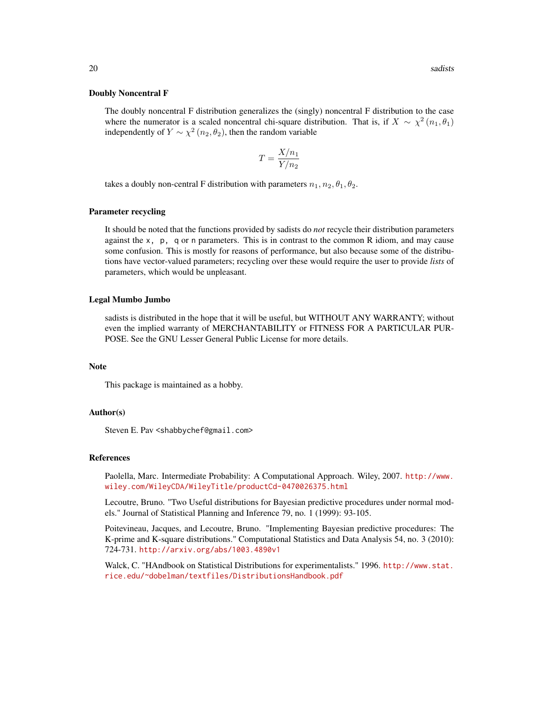#### Doubly Noncentral F

The doubly noncentral F distribution generalizes the (singly) noncentral F distribution to the case where the numerator is a scaled noncentral chi-square distribution. That is, if  $X \sim \chi^2(n_1, \theta_1)$ independently of  $Y \sim \chi^2(n_2, \theta_2)$ , then the random variable

$$
T = \frac{X/n_1}{Y/n_2}
$$

takes a doubly non-central F distribution with parameters  $n_1, n_2, \theta_1, \theta_2$ .

#### Parameter recycling

It should be noted that the functions provided by sadists do *not* recycle their distribution parameters against the  $x$ ,  $p$ , q or n parameters. This is in contrast to the common R idiom, and may cause some confusion. This is mostly for reasons of performance, but also because some of the distributions have vector-valued parameters; recycling over these would require the user to provide *lists* of parameters, which would be unpleasant.

#### Legal Mumbo Jumbo

sadists is distributed in the hope that it will be useful, but WITHOUT ANY WARRANTY; without even the implied warranty of MERCHANTABILITY or FITNESS FOR A PARTICULAR PUR-POSE. See the GNU Lesser General Public License for more details.

#### Note

This package is maintained as a hobby.

## Author(s)

Steven E. Pav <shabbychef@gmail.com>

#### References

Paolella, Marc. Intermediate Probability: A Computational Approach. Wiley, 2007. [http://www.](http://www.wiley.com/WileyCDA/WileyTitle/productCd-0470026375.html) [wiley.com/WileyCDA/WileyTitle/productCd-0470026375.html](http://www.wiley.com/WileyCDA/WileyTitle/productCd-0470026375.html)

Lecoutre, Bruno. "Two Useful distributions for Bayesian predictive procedures under normal models." Journal of Statistical Planning and Inference 79, no. 1 (1999): 93-105.

Poitevineau, Jacques, and Lecoutre, Bruno. "Implementing Bayesian predictive procedures: The K-prime and K-square distributions." Computational Statistics and Data Analysis 54, no. 3 (2010): 724-731. <http://arxiv.org/abs/1003.4890v1>

Walck, C. "HAndbook on Statistical Distributions for experimentalists." 1996. [http://www.stat.](http://www.stat.rice.edu/~dobelman/textfiles/DistributionsHandbook.pdf) [rice.edu/~dobelman/textfiles/DistributionsHandbook.pdf](http://www.stat.rice.edu/~dobelman/textfiles/DistributionsHandbook.pdf)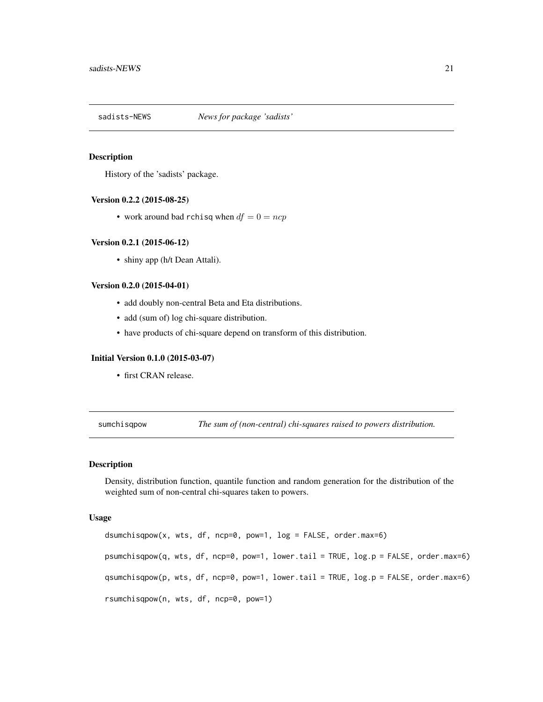<span id="page-20-0"></span>

## **Description**

History of the 'sadists' package.

## Version 0.2.2 (2015-08-25)

• work around bad rchisq when  $df = 0 = ncp$ 

#### Version 0.2.1 (2015-06-12)

• shiny app (h/t Dean Attali).

#### Version 0.2.0 (2015-04-01)

- add doubly non-central Beta and Eta distributions.
- add (sum of) log chi-square distribution.
- have products of chi-square depend on transform of this distribution.

#### Initial Version 0.1.0 (2015-03-07)

• first CRAN release.

sumchisqpow *The sum of (non-central) chi-squares raised to powers distribution.*

## <span id="page-20-1"></span>Description

Density, distribution function, quantile function and random generation for the distribution of the weighted sum of non-central chi-squares taken to powers.

#### Usage

 $d$ sumchisqpow(x, wts, df, ncp=0, pow=1,  $log =$  FALSE, order.max=6) psumchisqpow(q, wts, df, ncp=0, pow=1, lower.tail = TRUE, log.p = FALSE, order.max=6) qsumchisqpow(p, wts, df, ncp=0, pow=1, lower.tail = TRUE, log.p = FALSE, order.max=6) rsumchisqpow(n, wts, df, ncp=0, pow=1)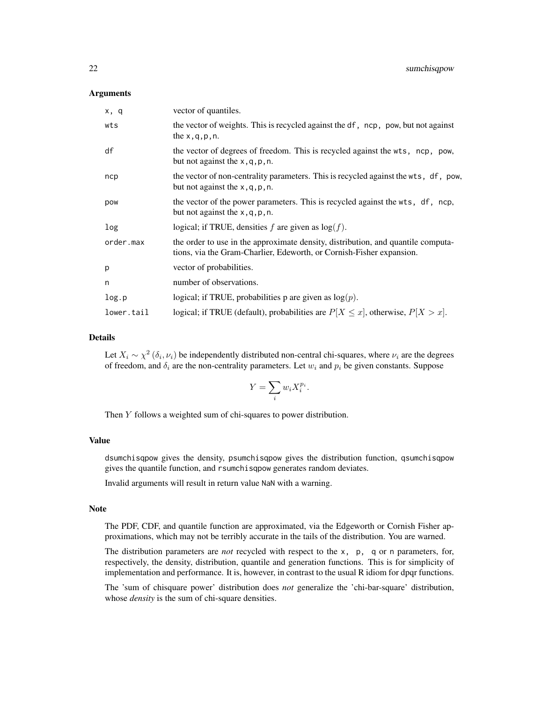#### Arguments

| x, q       | vector of quantiles.                                                                                                                                     |
|------------|----------------------------------------------------------------------------------------------------------------------------------------------------------|
| wts        | the vector of weights. This is recycled against the df, ncp, pow, but not against<br>the $x, q, p, n$ .                                                  |
| df         | the vector of degrees of freedom. This is recycled against the wts, ncp, pow,<br>but not against the $x$ , q, p, n.                                      |
| ncp        | the vector of non-centrality parameters. This is recycled against the wts, df, pow,<br>but not against the $x$ , q, p, n.                                |
| pow        | the vector of the power parameters. This is recycled against the wts, df, ncp,<br>but not against the $x$ , q, p, n.                                     |
| log        | logical; if TRUE, densities f are given as $log(f)$ .                                                                                                    |
| order.max  | the order to use in the approximate density, distribution, and quantile computa-<br>tions, via the Gram-Charlier, Edeworth, or Cornish-Fisher expansion. |
| p          | vector of probabilities.                                                                                                                                 |
| n          | number of observations.                                                                                                                                  |
| log.p      | logical; if TRUE, probabilities p are given as $log(p)$ .                                                                                                |
| lower.tail | logical; if TRUE (default), probabilities are $P[X \le x]$ , otherwise, $P[X > x]$ .                                                                     |

## Details

Let  $X_i \sim \chi^2(\delta_i, \nu_i)$  be independently distributed non-central chi-squares, where  $\nu_i$  are the degrees of freedom, and  $\delta_i$  are the non-centrality parameters. Let  $w_i$  and  $p_i$  be given constants. Suppose

$$
Y = \sum_{i} w_i X_i^{p_i}.
$$

Then Y follows a weighted sum of chi-squares to power distribution.

## Value

dsumchisqpow gives the density, psumchisqpow gives the distribution function, qsumchisqpow gives the quantile function, and rsumchisqpow generates random deviates.

Invalid arguments will result in return value NaN with a warning.

## Note

The PDF, CDF, and quantile function are approximated, via the Edgeworth or Cornish Fisher approximations, which may not be terribly accurate in the tails of the distribution. You are warned.

The distribution parameters are *not* recycled with respect to the x, p, q or n parameters, for, respectively, the density, distribution, quantile and generation functions. This is for simplicity of implementation and performance. It is, however, in contrast to the usual R idiom for dpqr functions.

The 'sum of chisquare power' distribution does *not* generalize the 'chi-bar-square' distribution, whose *density* is the sum of chi-square densities.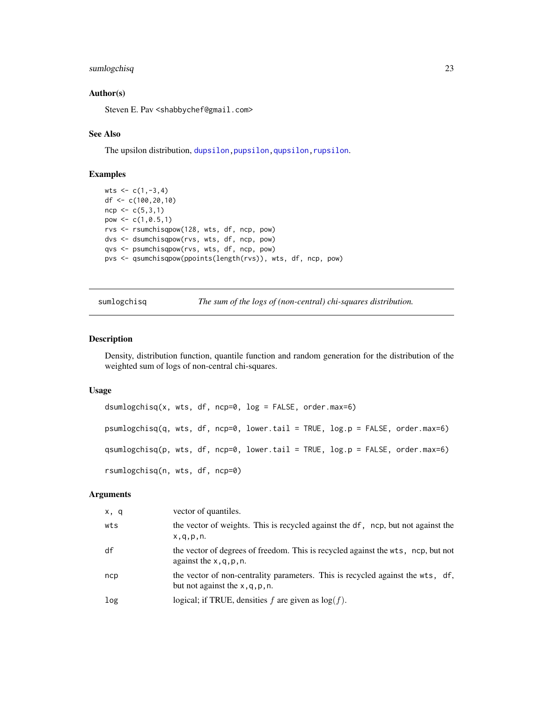## <span id="page-22-0"></span>sumlogchisq 23

## Author(s)

Steven E. Pav <shabbychef@gmail.com>

## See Also

The upsilon distribution, dupsilon, pupsilon, qupsilon, rupsilon.

## Examples

```
wts < -c(1, -3, 4)df <- c(100,20,10)
ncp < -c(5,3,1)pow \leq c(1, 0.5, 1)rvs <- rsumchisqpow(128, wts, df, ncp, pow)
dvs <- dsumchisqpow(rvs, wts, df, ncp, pow)
qvs <- psumchisqpow(rvs, wts, df, ncp, pow)
pvs <- qsumchisqpow(ppoints(length(rvs)), wts, df, ncp, pow)
```
sumlogchisq *The sum of the logs of (non-central) chi-squares distribution.*

#### <span id="page-22-1"></span>Description

Density, distribution function, quantile function and random generation for the distribution of the weighted sum of logs of non-central chi-squares.

#### Usage

```
dsumlogchisq(x, wts, df, ncp=0, log = FALSE, order.max=6)
psumlogchisq(q, wts, df, ncp=0, lower.tail = TRUE, log.p = FALSE, order.max=6)
qsumlogchisq(p, wts, df, ncp=0, lower.tail = TRUE, log.p = FALSE, order.max=6)
rsumlogchisq(n, wts, df, ncp=0)
```

| x, q | vector of quantiles.                                                                                                 |
|------|----------------------------------------------------------------------------------------------------------------------|
| wts  | the vector of weights. This is recycled against the df, ncp, but not against the<br>x, q, p, n.                      |
| df   | the vector of degrees of freedom. This is recycled against the wts, ncp, but not<br>against the $x, q, p, n$ .       |
| ncp  | the vector of non-centrality parameters. This is recycled against the wts, df,<br>but not against the $x, q, p, n$ . |
| log  | logical; if TRUE, densities $f$ are given as $log(f)$ .                                                              |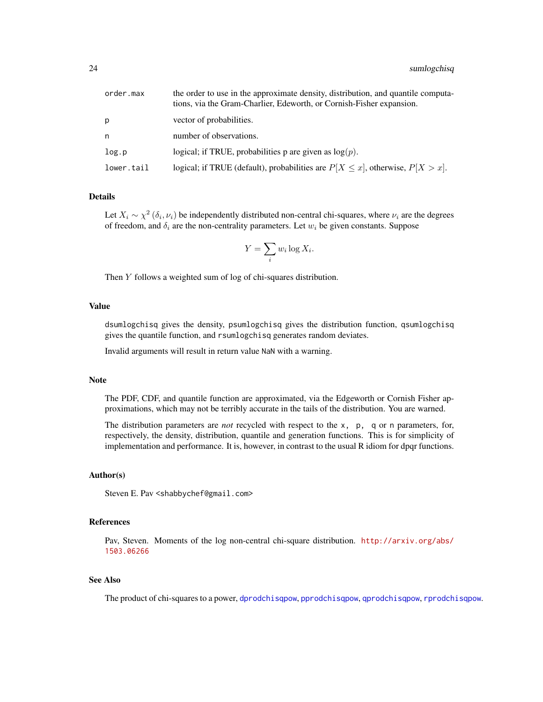<span id="page-23-0"></span>

| order.max  | the order to use in the approximate density, distribution, and quantile computa-<br>tions, via the Gram-Charlier, Edeworth, or Cornish-Fisher expansion. |
|------------|----------------------------------------------------------------------------------------------------------------------------------------------------------|
| р          | vector of probabilities.                                                                                                                                 |
| n          | number of observations.                                                                                                                                  |
| log.p      | logical; if TRUE, probabilities p are given as $log(p)$ .                                                                                                |
| lower.tail | logical; if TRUE (default), probabilities are $P[X \le x]$ , otherwise, $P[X > x]$ .                                                                     |

Let  $X_i \sim \chi^2(\delta_i, \nu_i)$  be independently distributed non-central chi-squares, where  $\nu_i$  are the degrees of freedom, and  $\delta_i$  are the non-centrality parameters. Let  $w_i$  be given constants. Suppose

$$
Y = \sum_{i} w_i \log X_i.
$$

Then Y follows a weighted sum of log of chi-squares distribution.

## Value

dsumlogchisq gives the density, psumlogchisq gives the distribution function, qsumlogchisq gives the quantile function, and rsumlogchisq generates random deviates.

Invalid arguments will result in return value NaN with a warning.

## Note

The PDF, CDF, and quantile function are approximated, via the Edgeworth or Cornish Fisher approximations, which may not be terribly accurate in the tails of the distribution. You are warned.

The distribution parameters are *not* recycled with respect to the x, p, q or n parameters, for, respectively, the density, distribution, quantile and generation functions. This is for simplicity of implementation and performance. It is, however, in contrast to the usual R idiom for dpqr functions.

#### Author(s)

Steven E. Pav <shabbychef@gmail.com>

## References

Pav, Steven. Moments of the log non-central chi-square distribution. [http://arxiv.org/abs/](http://arxiv.org/abs/1503.06266) [1503.06266](http://arxiv.org/abs/1503.06266)

## See Also

The product of chi-squares to a power, [dprodchisqpow](#page-12-1), [pprodchisqpow](#page-12-1), [qprodchisqpow](#page-12-1), [rprodchisqpow](#page-12-1).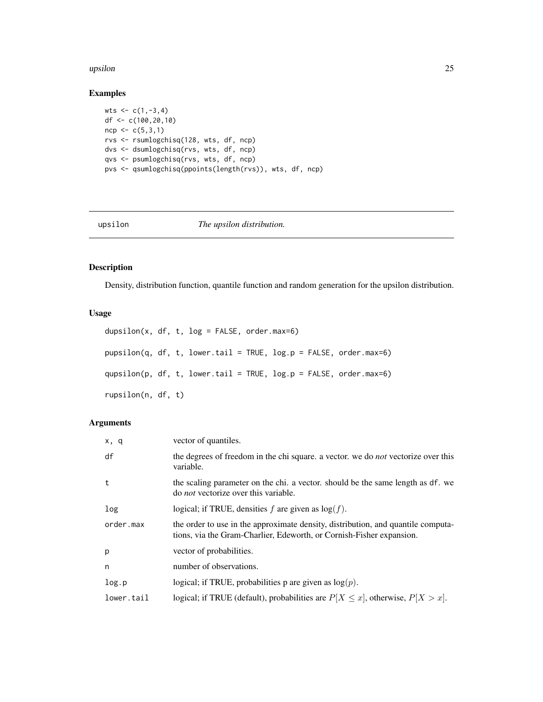#### <span id="page-24-0"></span>upsilon 25

## Examples

```
wts < -c(1,-3,4)df <- c(100,20,10)
ncp < -c(5,3,1)rvs <- rsumlogchisq(128, wts, df, ncp)
dvs <- dsumlogchisq(rvs, wts, df, ncp)
qvs <- psumlogchisq(rvs, wts, df, ncp)
pvs <- qsumlogchisq(ppoints(length(rvs)), wts, df, ncp)
```
upsilon *The upsilon distribution.*

## <span id="page-24-1"></span>Description

Density, distribution function, quantile function and random generation for the upsilon distribution.

## Usage

```
dupsilon(x, df, t, log = FALSE, order.max=6)
pupsilon(q, df, t, lower.tail = TRUE, log.p = FALSE, order.max=6)
qupsilon(p, df, t, lower.tail = TRUE, log.p = FALSE, order.max=6)
rupsilon(n, df, t)
```

| x, q       | vector of quantiles.                                                                                                                                     |
|------------|----------------------------------------------------------------------------------------------------------------------------------------------------------|
| df         | the degrees of freedom in the chi square. a vector, we do <i>not</i> vectorize over this<br>variable.                                                    |
| t          | the scaling parameter on the chi. a vector, should be the same length as df. we<br>do <i>not</i> vectorize over this variable.                           |
| log        | logical; if TRUE, densities f are given as $log(f)$ .                                                                                                    |
| order.max  | the order to use in the approximate density, distribution, and quantile computa-<br>tions, via the Gram-Charlier, Edeworth, or Cornish-Fisher expansion. |
| p          | vector of probabilities.                                                                                                                                 |
| n          | number of observations.                                                                                                                                  |
| log.p      | logical; if TRUE, probabilities p are given as $log(p)$ .                                                                                                |
| lower.tail | logical; if TRUE (default), probabilities are $P[X \le x]$ , otherwise, $P[X > x]$ .                                                                     |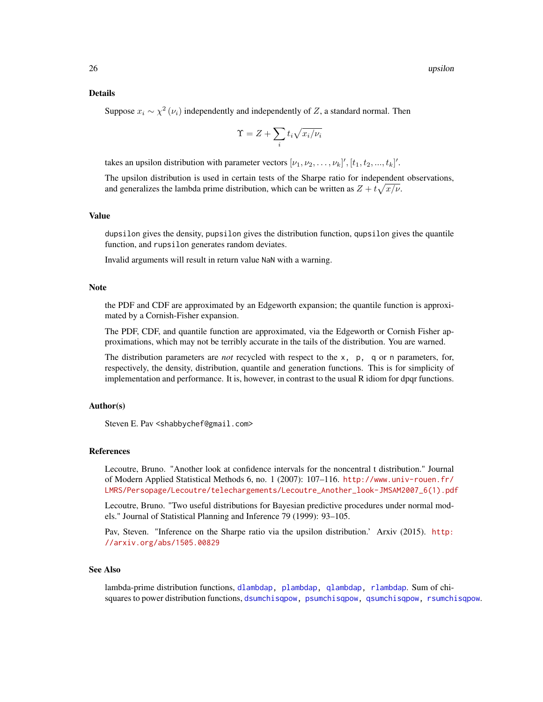<span id="page-25-0"></span>Suppose  $x_i \sim \chi^2(\nu_i)$  independently and independently of Z, a standard normal. Then

$$
\Upsilon = Z + \sum_i t_i \sqrt{x_i/\nu_i}
$$

takes an upsilon distribution with parameter vectors  $[\nu_1, \nu_2, \ldots, \nu_k]'$ ,  $[t_1, t_2, \ldots, t_k]'$ .

The upsilon distribution is used in certain tests of the Sharpe ratio for independent observations, and generalizes the lambda prime distribution, which can be written as  $Z + t\sqrt{x/\nu}$ .

## Value

dupsilon gives the density, pupsilon gives the distribution function, qupsilon gives the quantile function, and rupsilon generates random deviates.

Invalid arguments will result in return value NaN with a warning.

## Note

the PDF and CDF are approximated by an Edgeworth expansion; the quantile function is approximated by a Cornish-Fisher expansion.

The PDF, CDF, and quantile function are approximated, via the Edgeworth or Cornish Fisher approximations, which may not be terribly accurate in the tails of the distribution. You are warned.

The distribution parameters are *not* recycled with respect to the x, p, q or n parameters, for, respectively, the density, distribution, quantile and generation functions. This is for simplicity of implementation and performance. It is, however, in contrast to the usual R idiom for dpqr functions.

## Author(s)

Steven E. Pav <shabbychef@gmail.com>

#### References

Lecoutre, Bruno. "Another look at confidence intervals for the noncentral t distribution." Journal of Modern Applied Statistical Methods 6, no. 1 (2007): 107–116. [http://www.univ-rouen.fr/](http://www.univ-rouen.fr/LMRS/Persopage/Lecoutre/telechargements/Lecoutre_Another_look-JMSAM2007_6(1).pdf) [LMRS/Persopage/Lecoutre/telechargements/Lecoutre\\_Another\\_look-JMSAM2007\\_6\(1\).pdf](http://www.univ-rouen.fr/LMRS/Persopage/Lecoutre/telechargements/Lecoutre_Another_look-JMSAM2007_6(1).pdf)

Lecoutre, Bruno. "Two useful distributions for Bayesian predictive procedures under normal models." Journal of Statistical Planning and Inference 79 (1999): 93–105.

Pav, Steven. "Inference on the Sharpe ratio via the upsilon distribution.' Arxiv (2015). [http:](http://arxiv.org/abs/1505.00829) [//arxiv.org/abs/1505.00829](http://arxiv.org/abs/1505.00829)

## See Also

lambda-prime distribution functions, [dlambdap,](#page-10-1) [plambdap,](#page-10-1) [qlambdap,](#page-10-1) [rlambdap](#page-10-1). Sum of chisquares to power distribution functions, [dsumchisqpow,](#page-20-1) [psumchisqpow,](#page-20-1) [qsumchisqpow,](#page-20-1) [rsumchisqpow](#page-20-1).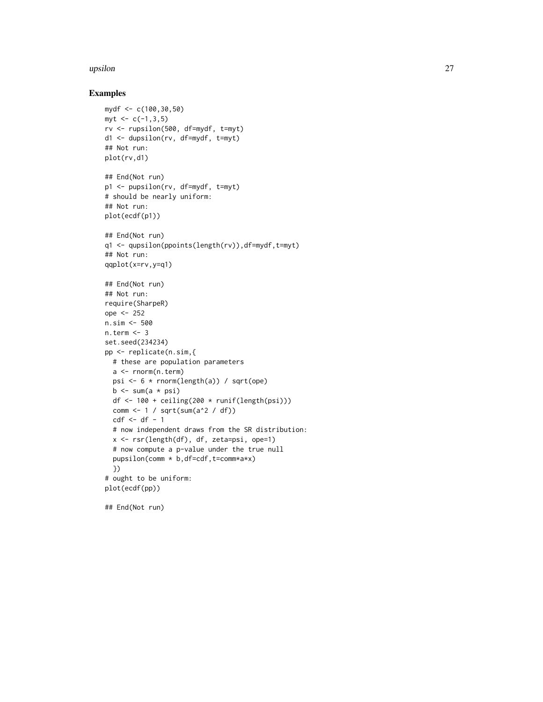#### upsilon 27

## Examples

```
mydf <- c(100,30,50)
myt < -c(-1,3,5)rv <- rupsilon(500, df=mydf, t=myt)
d1 <- dupsilon(rv, df=mydf, t=myt)
## Not run:
plot(rv,d1)
## End(Not run)
p1 <- pupsilon(rv, df=mydf, t=myt)
# should be nearly uniform:
## Not run:
plot(ecdf(p1))
## End(Not run)
q1 <- qupsilon(ppoints(length(rv)),df=mydf,t=myt)
## Not run:
qqplot(x=rv,y=q1)
## End(Not run)
## Not run:
require(SharpeR)
ope <- 252
n.sim <- 500
n.term <- 3
set.seed(234234)
pp <- replicate(n.sim,{
 # these are population parameters
 a <- rnorm(n.term)
 psi <- 6 * rnorm(length(a)) / sqrt(ope)
  b \leq sum(a * psi)df \leftarrow 100 + ceiling(200 * runif(length(psi)))
  comm <- 1 / sqrt(sum(a^2 / df))
  cdf \leftarrow df - 1# now independent draws from the SR distribution:
  x <- rsr(length(df), df, zeta=psi, ope=1)
  # now compute a p-value under the true null
  pupsilon(comm * b,df=cdf,t=comm*a*x)
  })
# ought to be uniform:
plot(ecdf(pp))
```
## End(Not run)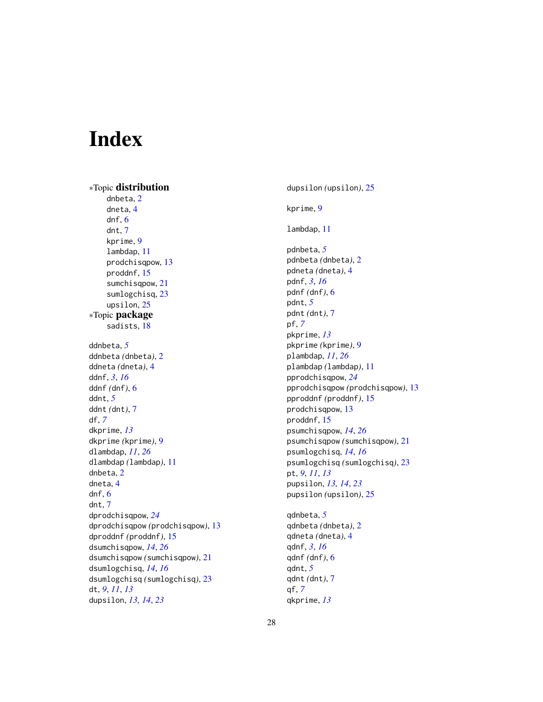# <span id="page-27-0"></span>Index

∗Topic distribution dnbeta, [2](#page-1-0) dneta, [4](#page-3-0) dnf, [6](#page-5-0) dnt, [7](#page-6-0) kprime, [9](#page-8-0) lambdap, [11](#page-10-0) prodchisqpow, [13](#page-12-0) proddnf, [15](#page-14-0) sumchisqpow, [21](#page-20-0) sumlogchisq, [23](#page-22-0) upsilon, [25](#page-24-0) ∗Topic package sadists, [18](#page-17-0) ddnbeta, *[5](#page-4-0)* ddnbeta *(*dnbeta*)*, [2](#page-1-0) ddneta *(*dneta*)*, [4](#page-3-0) ddnf, *[3](#page-2-0)*, *[16](#page-15-0)* ddnf *(*dnf*)*, [6](#page-5-0) ddnt, *[5](#page-4-0)* ddnt *(*dnt*)*, [7](#page-6-0) df, *[7](#page-6-0)* dkprime, *[13](#page-12-0)* dkprime *(*kprime*)*, [9](#page-8-0) dlambdap, *[11](#page-10-0)*, *[26](#page-25-0)* dlambdap *(*lambdap*)*, [11](#page-10-0) dnbeta, [2](#page-1-0) dneta, [4](#page-3-0) dnf, [6](#page-5-0) dnt, [7](#page-6-0) dprodchisqpow, *[24](#page-23-0)* dprodchisqpow *(*prodchisqpow*)*, [13](#page-12-0) dproddnf *(*proddnf*)*, [15](#page-14-0) dsumchisqpow, *[14](#page-13-0)*, *[26](#page-25-0)* dsumchisqpow *(*sumchisqpow*)*, [21](#page-20-0) dsumlogchisq, *[14](#page-13-0)*, *[16](#page-15-0)* dsumlogchisq *(*sumlogchisq*)*, [23](#page-22-0) dt, *[9](#page-8-0)*, *[11](#page-10-0)*, *[13](#page-12-0)* dupsilon, *[13,](#page-12-0) [14](#page-13-0)*, *[23](#page-22-0)*

dupsilon *(*upsilon*)*, [25](#page-24-0) kprime, [9](#page-8-0) lambdap, [11](#page-10-0) pdnbeta, *[5](#page-4-0)* pdnbeta *(*dnbeta*)*, [2](#page-1-0) pdneta *(*dneta*)*, [4](#page-3-0) pdnf, *[3](#page-2-0)*, *[16](#page-15-0)* pdnf *(*dnf*)*, [6](#page-5-0) pdnt, *[5](#page-4-0)* pdnt *(*dnt*)*, [7](#page-6-0) pf, *[7](#page-6-0)* pkprime, *[13](#page-12-0)* pkprime *(*kprime*)*, [9](#page-8-0) plambdap, *[11](#page-10-0)*, *[26](#page-25-0)* plambdap *(*lambdap*)*, [11](#page-10-0) pprodchisqpow, *[24](#page-23-0)* pprodchisqpow *(*prodchisqpow*)*, [13](#page-12-0) pproddnf *(*proddnf*)*, [15](#page-14-0) prodchisqpow, [13](#page-12-0) proddnf, [15](#page-14-0) psumchisqpow, *[14](#page-13-0)*, *[26](#page-25-0)* psumchisqpow *(*sumchisqpow*)*, [21](#page-20-0) psumlogchisq, *[14](#page-13-0)*, *[16](#page-15-0)* psumlogchisq *(*sumlogchisq*)*, [23](#page-22-0) pt, *[9](#page-8-0)*, *[11](#page-10-0)*, *[13](#page-12-0)* pupsilon, *[13,](#page-12-0) [14](#page-13-0)*, *[23](#page-22-0)* pupsilon *(*upsilon*)*, [25](#page-24-0) qdnbeta, *[5](#page-4-0)* qdnbeta *(*dnbeta*)*, [2](#page-1-0)

qdneta *(*dneta*)*, [4](#page-3-0) qdnf, *[3](#page-2-0)*, *[16](#page-15-0)* qdnf *(*dnf*)*, [6](#page-5-0) qdnt, *[5](#page-4-0)* qdnt *(*dnt*)*, [7](#page-6-0) qf, *[7](#page-6-0)* qkprime, *[13](#page-12-0)*